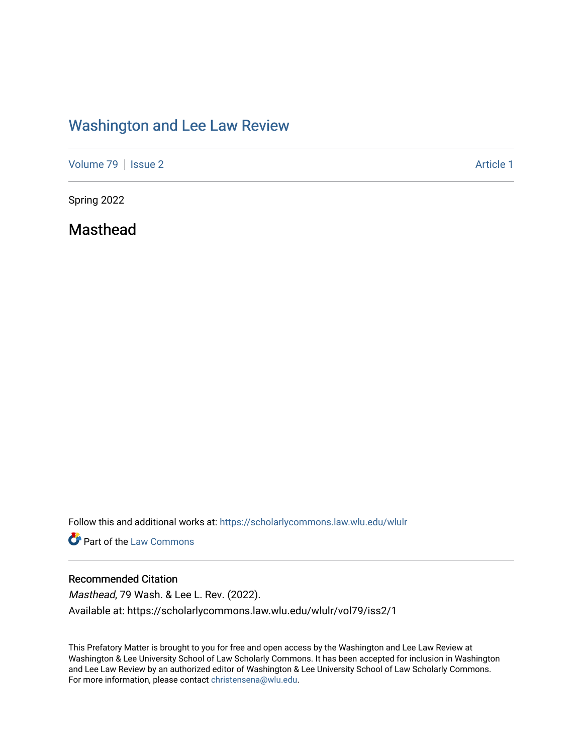## [Washington and Lee Law Review](https://scholarlycommons.law.wlu.edu/wlulr)

[Volume 79](https://scholarlycommons.law.wlu.edu/wlulr/vol79) | [Issue 2](https://scholarlycommons.law.wlu.edu/wlulr/vol79/iss2) Article 1

Spring 2022

Masthead

Follow this and additional works at: [https://scholarlycommons.law.wlu.edu/wlulr](https://scholarlycommons.law.wlu.edu/wlulr?utm_source=scholarlycommons.law.wlu.edu%2Fwlulr%2Fvol79%2Fiss2%2F1&utm_medium=PDF&utm_campaign=PDFCoverPages) 

**Part of the [Law Commons](http://network.bepress.com/hgg/discipline/578?utm_source=scholarlycommons.law.wlu.edu%2Fwlulr%2Fvol79%2Fiss2%2F1&utm_medium=PDF&utm_campaign=PDFCoverPages)** 

### Recommended Citation

Masthead, 79 Wash. & Lee L. Rev. (2022). Available at: https://scholarlycommons.law.wlu.edu/wlulr/vol79/iss2/1

This Prefatory Matter is brought to you for free and open access by the Washington and Lee Law Review at Washington & Lee University School of Law Scholarly Commons. It has been accepted for inclusion in Washington and Lee Law Review by an authorized editor of Washington & Lee University School of Law Scholarly Commons. For more information, please contact [christensena@wlu.edu](mailto:christensena@wlu.edu).